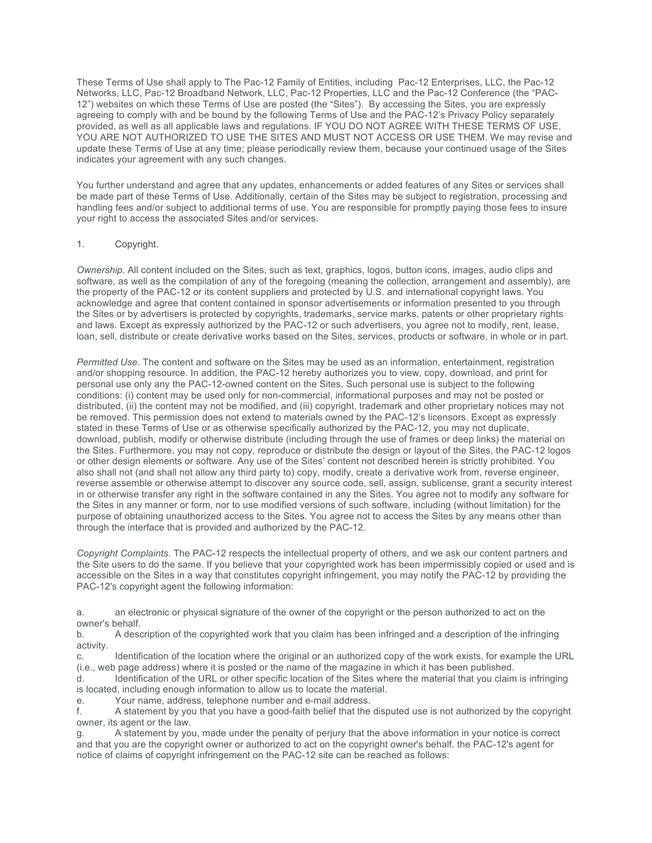These Terms of Use shall apply to The Pac-12 Family of Entities, including Pac-12 Enterprises, LLC, the Pac-12 Networks, LLC, Pac-12 Broadband Network, LLC, Pac-12 Properties, LLC and the Pac-12 Conference (the "PAC-12") websites on which these Terms of Use are posted (the "Sites"). By accessing the Sites, you are expressly agreeing to comply with and be bound by the following Terms of Use and the PAC-12's Privacy Policy separately provided, as well as all applicable laws and regulations. IF YOU DO NOT AGREE WITH THESE TERMS OF USE, YOU ARE NOT AUTHORIZED TO USE THE SITES AND MUST NOT ACCESS OR USE THEM. We may revise and update these Terms of Use at any time; please periodically review them, because your continued usage of the Sites indicates your agreement with any such changes.

You further understand and agree that any updates, enhancements or added features of any Sites or services shall be made part of these Terms of Use. Additionally, certain of the Sites may be subject to registration, processing and handling fees and/or subject to additional terms of use. You are responsible for promptly paying those fees to insure your right to access the associated Sites and/or services.

# 1. Copyright.

*Ownership*. All content included on the Sites, such as text, graphics, logos, button icons, images, audio clips and software, as well as the compilation of any of the foregoing (meaning the collection, arrangement and assembly), are the property of the PAC-12 or its content suppliers and protected by U.S. and international copyright laws. You acknowledge and agree that content contained in sponsor advertisements or information presented to you through the Sites or by advertisers is protected by copyrights, trademarks, service marks, patents or other proprietary rights and laws. Except as expressly authorized by the PAC-12 or such advertisers, you agree not to modify, rent, lease, loan, sell, distribute or create derivative works based on the Sites, services, products or software, in whole or in part.

*Permitted Use*. The content and software on the Sites may be used as an information, entertainment, registration and/or shopping resource. In addition, the PAC-12 hereby authorizes you to view, copy, download, and print for personal use only any the PAC-12-owned content on the Sites. Such personal use is subject to the following conditions: (i) content may be used only for non-commercial, informational purposes and may not be posted or distributed, (ii) the content may not be modified, and (iii) copyright, trademark and other proprietary notices may not be removed. This permission does not extend to materials owned by the PAC-12's licensors. Except as expressly stated in these Terms of Use or as otherwise specifically authorized by the PAC-12, you may not duplicate, download, publish, modify or otherwise distribute (including through the use of frames or deep links) the material on the Sites. Furthermore, you may not copy, reproduce or distribute the design or layout of the Sites, the PAC-12 logos or other design elements or software. Any use of the Sites' content not described herein is strictly prohibited. You also shall not (and shall not allow any third party to) copy, modify, create a derivative work from, reverse engineer, reverse assemble or otherwise attempt to discover any source code, sell, assign, sublicense, grant a security interest in or otherwise transfer any right in the software contained in any the Sites. You agree not to modify any software for the Sites in any manner or form, nor to use modified versions of such software, including (without limitation) for the purpose of obtaining unauthorized access to the Sites. You agree not to access the Sites by any means other than through the interface that is provided and authorized by the PAC-12.

*Copyright Complaints*. The PAC-12 respects the intellectual property of others, and we ask our content partners and the Site users to do the same. If you believe that your copyrighted work has been impermissibly copied or used and is accessible on the Sites in a way that constitutes copyright infringement, you may notify the PAC-12 by providing the PAC-12's copyright agent the following information:

a. an electronic or physical signature of the owner of the copyright or the person authorized to act on the owner's behalf.

b. A description of the copyrighted work that you claim has been infringed and a description of the infringing activity.

c. Identification of the location where the original or an authorized copy of the work exists, for example the URL (i.e., web page address) where it is posted or the name of the magazine in which it has been published.

d. Identification of the URL or other specific location of the Sites where the material that you claim is infringing is located, including enough information to allow us to locate the material.

e. Your name, address, telephone number and e-mail address.

f. A statement by you that you have a good-faith belief that the disputed use is not authorized by the copyright owner, its agent or the law.

g. A statement by you, made under the penalty of perjury that the above information in your notice is correct and that you are the copyright owner or authorized to act on the copyright owner's behalf. the PAC-12's agent for notice of claims of copyright infringement on the PAC-12 site can be reached as follows: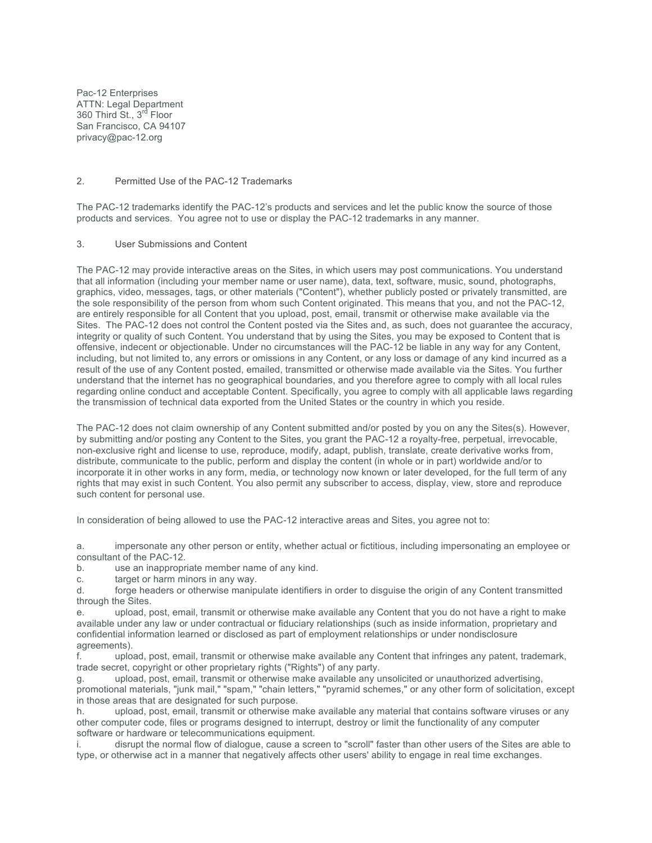Pac-12 Enterprises ATTN: Legal Department 360 Third St., 3<sup>rd</sup> Floor San Francisco, CA 94107 privacy@pac-12.org

## 2. Permitted Use of the PAC-12 Trademarks

The PAC-12 trademarks identify the PAC-12's products and services and let the public know the source of those products and services. You agree not to use or display the PAC-12 trademarks in any manner.

#### 3. User Submissions and Content

The PAC-12 may provide interactive areas on the Sites, in which users may post communications. You understand that all information (including your member name or user name), data, text, software, music, sound, photographs, graphics, video, messages, tags, or other materials ("Content"), whether publicly posted or privately transmitted, are the sole responsibility of the person from whom such Content originated. This means that you, and not the PAC-12, are entirely responsible for all Content that you upload, post, email, transmit or otherwise make available via the Sites. The PAC-12 does not control the Content posted via the Sites and, as such, does not guarantee the accuracy, integrity or quality of such Content. You understand that by using the Sites, you may be exposed to Content that is offensive, indecent or objectionable. Under no circumstances will the PAC-12 be liable in any way for any Content, including, but not limited to, any errors or omissions in any Content, or any loss or damage of any kind incurred as a result of the use of any Content posted, emailed, transmitted or otherwise made available via the Sites. You further understand that the internet has no geographical boundaries, and you therefore agree to comply with all local rules regarding online conduct and acceptable Content. Specifically, you agree to comply with all applicable laws regarding the transmission of technical data exported from the United States or the country in which you reside.

The PAC-12 does not claim ownership of any Content submitted and/or posted by you on any the Sites(s). However, by submitting and/or posting any Content to the Sites, you grant the PAC-12 a royalty-free, perpetual, irrevocable, non-exclusive right and license to use, reproduce, modify, adapt, publish, translate, create derivative works from, distribute, communicate to the public, perform and display the content (in whole or in part) worldwide and/or to incorporate it in other works in any form, media, or technology now known or later developed, for the full term of any rights that may exist in such Content. You also permit any subscriber to access, display, view, store and reproduce such content for personal use.

In consideration of being allowed to use the PAC-12 interactive areas and Sites, you agree not to:

a. impersonate any other person or entity, whether actual or fictitious, including impersonating an employee or consultant of the PAC-12.

b. use an inappropriate member name of any kind.

c. target or harm minors in any way.

d. forge headers or otherwise manipulate identifiers in order to disguise the origin of any Content transmitted through the Sites.

e. upload, post, email, transmit or otherwise make available any Content that you do not have a right to make available under any law or under contractual or fiduciary relationships (such as inside information, proprietary and confidential information learned or disclosed as part of employment relationships or under nondisclosure agreements).

f. upload, post, email, transmit or otherwise make available any Content that infringes any patent, trademark, trade secret, copyright or other proprietary rights ("Rights") of any party.

g. upload, post, email, transmit or otherwise make available any unsolicited or unauthorized advertising, promotional materials, "junk mail," "spam," "chain letters," "pyramid schemes," or any other form of solicitation, except in those areas that are designated for such purpose.

h. upload, post, email, transmit or otherwise make available any material that contains software viruses or any other computer code, files or programs designed to interrupt, destroy or limit the functionality of any computer software or hardware or telecommunications equipment.

i. disrupt the normal flow of dialogue, cause a screen to "scroll" faster than other users of the Sites are able to type, or otherwise act in a manner that negatively affects other users' ability to engage in real time exchanges.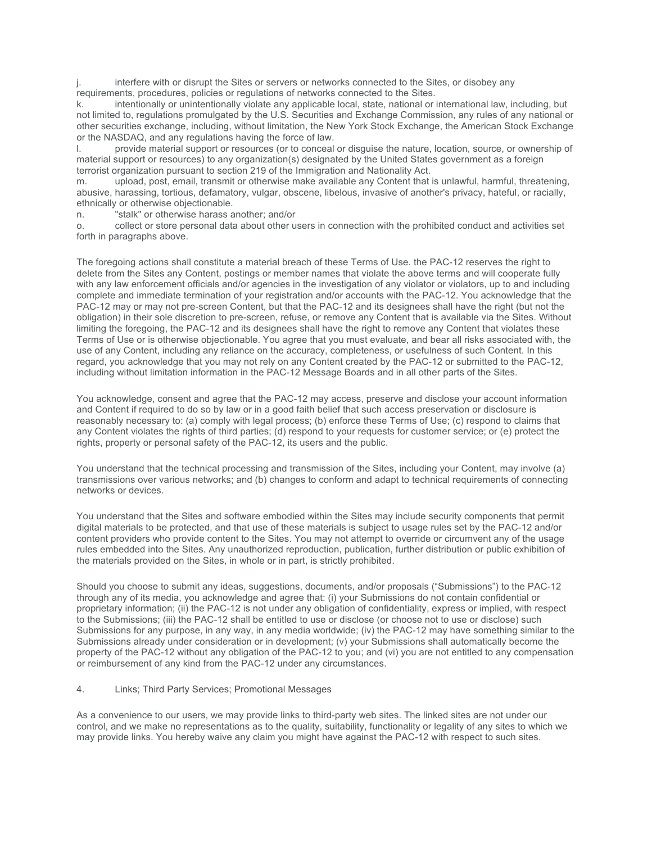j. interfere with or disrupt the Sites or servers or networks connected to the Sites, or disobey any requirements, procedures, policies or regulations of networks connected to the Sites.

k. intentionally or unintentionally violate any applicable local, state, national or international law, including, but not limited to, regulations promulgated by the U.S. Securities and Exchange Commission, any rules of any national or other securities exchange, including, without limitation, the New York Stock Exchange, the American Stock Exchange or the NASDAQ, and any regulations having the force of law.

l. provide material support or resources (or to conceal or disguise the nature, location, source, or ownership of material support or resources) to any organization(s) designated by the United States government as a foreign terrorist organization pursuant to section 219 of the Immigration and Nationality Act.

m. upload, post, email, transmit or otherwise make available any Content that is unlawful, harmful, threatening, abusive, harassing, tortious, defamatory, vulgar, obscene, libelous, invasive of another's privacy, hateful, or racially, ethnically or otherwise objectionable.

n. "stalk" or otherwise harass another; and/or

o. collect or store personal data about other users in connection with the prohibited conduct and activities set forth in paragraphs above.

The foregoing actions shall constitute a material breach of these Terms of Use. the PAC-12 reserves the right to delete from the Sites any Content, postings or member names that violate the above terms and will cooperate fully with any law enforcement officials and/or agencies in the investigation of any violator or violators, up to and including complete and immediate termination of your registration and/or accounts with the PAC-12. You acknowledge that the PAC-12 may or may not pre-screen Content, but that the PAC-12 and its designees shall have the right (but not the obligation) in their sole discretion to pre-screen, refuse, or remove any Content that is available via the Sites. Without limiting the foregoing, the PAC-12 and its designees shall have the right to remove any Content that violates these Terms of Use or is otherwise objectionable. You agree that you must evaluate, and bear all risks associated with, the use of any Content, including any reliance on the accuracy, completeness, or usefulness of such Content. In this regard, you acknowledge that you may not rely on any Content created by the PAC-12 or submitted to the PAC-12, including without limitation information in the PAC-12 Message Boards and in all other parts of the Sites.

You acknowledge, consent and agree that the PAC-12 may access, preserve and disclose your account information and Content if required to do so by law or in a good faith belief that such access preservation or disclosure is reasonably necessary to: (a) comply with legal process; (b) enforce these Terms of Use; (c) respond to claims that any Content violates the rights of third parties; (d) respond to your requests for customer service; or (e) protect the rights, property or personal safety of the PAC-12, its users and the public.

You understand that the technical processing and transmission of the Sites, including your Content, may involve (a) transmissions over various networks; and (b) changes to conform and adapt to technical requirements of connecting networks or devices.

You understand that the Sites and software embodied within the Sites may include security components that permit digital materials to be protected, and that use of these materials is subject to usage rules set by the PAC-12 and/or content providers who provide content to the Sites. You may not attempt to override or circumvent any of the usage rules embedded into the Sites. Any unauthorized reproduction, publication, further distribution or public exhibition of the materials provided on the Sites, in whole or in part, is strictly prohibited.

Should you choose to submit any ideas, suggestions, documents, and/or proposals ("Submissions") to the PAC-12 through any of its media, you acknowledge and agree that: (i) your Submissions do not contain confidential or proprietary information; (ii) the PAC-12 is not under any obligation of confidentiality, express or implied, with respect to the Submissions; (iii) the PAC-12 shall be entitled to use or disclose (or choose not to use or disclose) such Submissions for any purpose, in any way, in any media worldwide; (iv) the PAC-12 may have something similar to the Submissions already under consideration or in development; (v) your Submissions shall automatically become the property of the PAC-12 without any obligation of the PAC-12 to you; and (vi) you are not entitled to any compensation or reimbursement of any kind from the PAC-12 under any circumstances.

## 4. Links; Third Party Services; Promotional Messages

As a convenience to our users, we may provide links to third-party web sites. The linked sites are not under our control, and we make no representations as to the quality, suitability, functionality or legality of any sites to which we may provide links. You hereby waive any claim you might have against the PAC-12 with respect to such sites.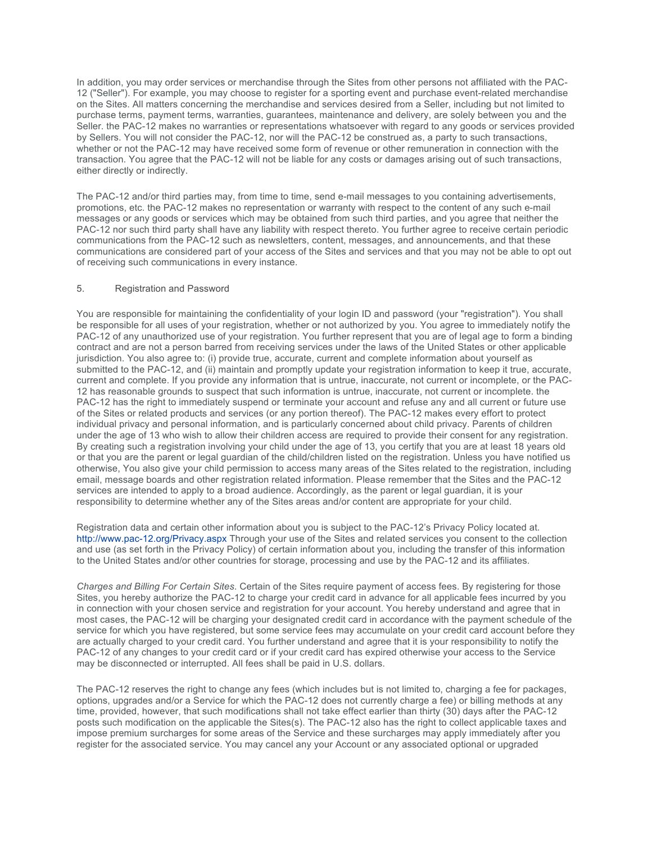In addition, you may order services or merchandise through the Sites from other persons not affiliated with the PAC-12 ("Seller"). For example, you may choose to register for a sporting event and purchase event-related merchandise on the Sites. All matters concerning the merchandise and services desired from a Seller, including but not limited to purchase terms, payment terms, warranties, guarantees, maintenance and delivery, are solely between you and the Seller. the PAC-12 makes no warranties or representations whatsoever with regard to any goods or services provided by Sellers. You will not consider the PAC-12, nor will the PAC-12 be construed as, a party to such transactions, whether or not the PAC-12 may have received some form of revenue or other remuneration in connection with the transaction. You agree that the PAC-12 will not be liable for any costs or damages arising out of such transactions, either directly or indirectly.

The PAC-12 and/or third parties may, from time to time, send e-mail messages to you containing advertisements, promotions, etc. the PAC-12 makes no representation or warranty with respect to the content of any such e-mail messages or any goods or services which may be obtained from such third parties, and you agree that neither the PAC-12 nor such third party shall have any liability with respect thereto. You further agree to receive certain periodic communications from the PAC-12 such as newsletters, content, messages, and announcements, and that these communications are considered part of your access of the Sites and services and that you may not be able to opt out of receiving such communications in every instance.

## 5. Registration and Password

You are responsible for maintaining the confidentiality of your login ID and password (your "registration"). You shall be responsible for all uses of your registration, whether or not authorized by you. You agree to immediately notify the PAC-12 of any unauthorized use of your registration. You further represent that you are of legal age to form a binding contract and are not a person barred from receiving services under the laws of the United States or other applicable jurisdiction. You also agree to: (i) provide true, accurate, current and complete information about yourself as submitted to the PAC-12, and (ii) maintain and promptly update your registration information to keep it true, accurate, current and complete. If you provide any information that is untrue, inaccurate, not current or incomplete, or the PAC-12 has reasonable grounds to suspect that such information is untrue, inaccurate, not current or incomplete. the PAC-12 has the right to immediately suspend or terminate your account and refuse any and all current or future use of the Sites or related products and services (or any portion thereof). The PAC-12 makes every effort to protect individual privacy and personal information, and is particularly concerned about child privacy. Parents of children under the age of 13 who wish to allow their children access are required to provide their consent for any registration. By creating such a registration involving your child under the age of 13, you certify that you are at least 18 years old or that you are the parent or legal guardian of the child/children listed on the registration. Unless you have notified us otherwise, You also give your child permission to access many areas of the Sites related to the registration, including email, message boards and other registration related information. Please remember that the Sites and the PAC-12 services are intended to apply to a broad audience. Accordingly, as the parent or legal guardian, it is your responsibility to determine whether any of the Sites areas and/or content are appropriate for your child.

Registration data and certain other information about you is subject to the PAC-12's Privacy Policy located at. http://www.pac-12.org/Privacy.aspx Through your use of the Sites and related services you consent to the collection and use (as set forth in the Privacy Policy) of certain information about you, including the transfer of this information to the United States and/or other countries for storage, processing and use by the PAC-12 and its affiliates.

*Charges and Billing For Certain Sites*. Certain of the Sites require payment of access fees. By registering for those Sites, you hereby authorize the PAC-12 to charge your credit card in advance for all applicable fees incurred by you in connection with your chosen service and registration for your account. You hereby understand and agree that in most cases, the PAC-12 will be charging your designated credit card in accordance with the payment schedule of the service for which you have registered, but some service fees may accumulate on your credit card account before they are actually charged to your credit card. You further understand and agree that it is your responsibility to notify the PAC-12 of any changes to your credit card or if your credit card has expired otherwise your access to the Service may be disconnected or interrupted. All fees shall be paid in U.S. dollars.

The PAC-12 reserves the right to change any fees (which includes but is not limited to, charging a fee for packages, options, upgrades and/or a Service for which the PAC-12 does not currently charge a fee) or billing methods at any time, provided, however, that such modifications shall not take effect earlier than thirty (30) days after the PAC-12 posts such modification on the applicable the Sites(s). The PAC-12 also has the right to collect applicable taxes and impose premium surcharges for some areas of the Service and these surcharges may apply immediately after you register for the associated service. You may cancel any your Account or any associated optional or upgraded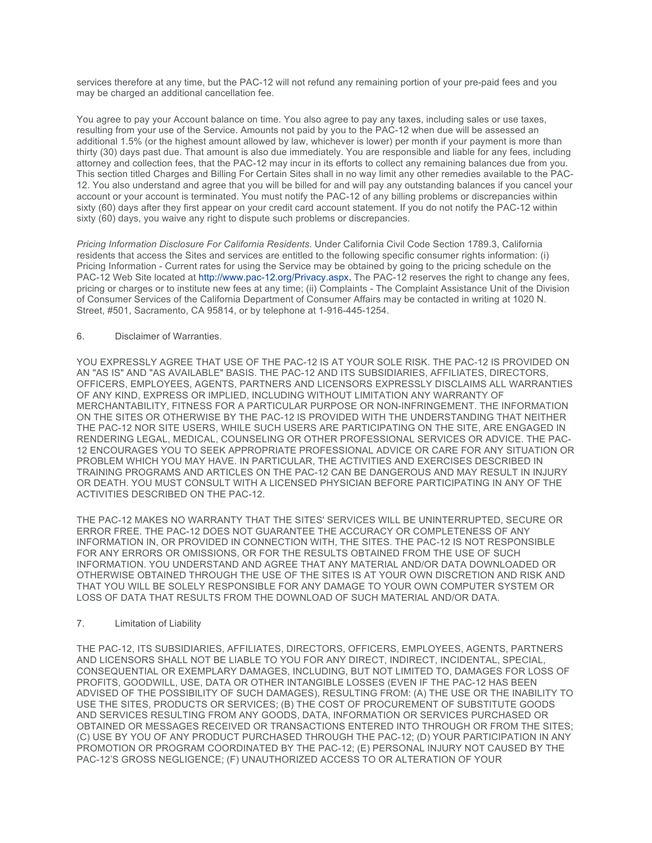services therefore at any time, but the PAC-12 will not refund any remaining portion of your pre-paid fees and you may be charged an additional cancellation fee.

You agree to pay your Account balance on time. You also agree to pay any taxes, including sales or use taxes, resulting from your use of the Service. Amounts not paid by you to the PAC-12 when due will be assessed an additional 1.5% (or the highest amount allowed by law, whichever is lower) per month if your payment is more than thirty (30) days past due. That amount is also due immediately. You are responsible and liable for any fees, including attorney and collection fees, that the PAC-12 may incur in its efforts to collect any remaining balances due from you. This section titled Charges and Billing For Certain Sites shall in no way limit any other remedies available to the PAC-12. You also understand and agree that you will be billed for and will pay any outstanding balances if you cancel your account or your account is terminated. You must notify the PAC-12 of any billing problems or discrepancies within sixty (60) days after they first appear on your credit card account statement. If you do not notify the PAC-12 within sixty (60) days, you waive any right to dispute such problems or discrepancies.

*Pricing Information Disclosure For California Residents*. Under California Civil Code Section 1789.3, California residents that access the Sites and services are entitled to the following specific consumer rights information: (i) Pricing Information - Current rates for using the Service may be obtained by going to the pricing schedule on the PAC-12 Web Site located at http://www.pac-12.org/Privacy.aspx. The PAC-12 reserves the right to change any fees, pricing or charges or to institute new fees at any time; (ii) Complaints - The Complaint Assistance Unit of the Division of Consumer Services of the California Department of Consumer Affairs may be contacted in writing at 1020 N. Street, #501, Sacramento, CA 95814, or by telephone at 1-916-445-1254.

## 6. Disclaimer of Warranties.

YOU EXPRESSLY AGREE THAT USE OF THE PAC-12 IS AT YOUR SOLE RISK. THE PAC-12 IS PROVIDED ON AN "AS IS" AND "AS AVAILABLE" BASIS. THE PAC-12 AND ITS SUBSIDIARIES, AFFILIATES, DIRECTORS, OFFICERS, EMPLOYEES, AGENTS, PARTNERS AND LICENSORS EXPRESSLY DISCLAIMS ALL WARRANTIES OF ANY KIND, EXPRESS OR IMPLIED, INCLUDING WITHOUT LIMITATION ANY WARRANTY OF MERCHANTABILITY, FITNESS FOR A PARTICULAR PURPOSE OR NON-INFRINGEMENT. THE INFORMATION ON THE SITES OR OTHERWISE BY THE PAC-12 IS PROVIDED WITH THE UNDERSTANDING THAT NEITHER THE PAC-12 NOR SITE USERS, WHILE SUCH USERS ARE PARTICIPATING ON THE SITE, ARE ENGAGED IN RENDERING LEGAL, MEDICAL, COUNSELING OR OTHER PROFESSIONAL SERVICES OR ADVICE. THE PAC-12 ENCOURAGES YOU TO SEEK APPROPRIATE PROFESSIONAL ADVICE OR CARE FOR ANY SITUATION OR PROBLEM WHICH YOU MAY HAVE. IN PARTICULAR, THE ACTIVITIES AND EXERCISES DESCRIBED IN TRAINING PROGRAMS AND ARTICLES ON THE PAC-12 CAN BE DANGEROUS AND MAY RESULT IN INJURY OR DEATH. YOU MUST CONSULT WITH A LICENSED PHYSICIAN BEFORE PARTICIPATING IN ANY OF THE ACTIVITIES DESCRIBED ON THE PAC-12.

THE PAC-12 MAKES NO WARRANTY THAT THE SITES' SERVICES WILL BE UNINTERRUPTED, SECURE OR ERROR FREE. THE PAC-12 DOES NOT GUARANTEE THE ACCURACY OR COMPLETENESS OF ANY INFORMATION IN, OR PROVIDED IN CONNECTION WITH, THE SITES. THE PAC-12 IS NOT RESPONSIBLE FOR ANY ERRORS OR OMISSIONS, OR FOR THE RESULTS OBTAINED FROM THE USE OF SUCH INFORMATION. YOU UNDERSTAND AND AGREE THAT ANY MATERIAL AND/OR DATA DOWNLOADED OR OTHERWISE OBTAINED THROUGH THE USE OF THE SITES IS AT YOUR OWN DISCRETION AND RISK AND THAT YOU WILL BE SOLELY RESPONSIBLE FOR ANY DAMAGE TO YOUR OWN COMPUTER SYSTEM OR LOSS OF DATA THAT RESULTS FROM THE DOWNLOAD OF SUCH MATERIAL AND/OR DATA.

## 7. Limitation of Liability

THE PAC-12, ITS SUBSIDIARIES, AFFILIATES, DIRECTORS, OFFICERS, EMPLOYEES, AGENTS, PARTNERS AND LICENSORS SHALL NOT BE LIABLE TO YOU FOR ANY DIRECT, INDIRECT, INCIDENTAL, SPECIAL, CONSEQUENTIAL OR EXEMPLARY DAMAGES, INCLUDING, BUT NOT LIMITED TO, DAMAGES FOR LOSS OF PROFITS, GOODWILL, USE, DATA OR OTHER INTANGIBLE LOSSES (EVEN IF THE PAC-12 HAS BEEN ADVISED OF THE POSSIBILITY OF SUCH DAMAGES), RESULTING FROM: (A) THE USE OR THE INABILITY TO USE THE SITES, PRODUCTS OR SERVICES; (B) THE COST OF PROCUREMENT OF SUBSTITUTE GOODS AND SERVICES RESULTING FROM ANY GOODS, DATA, INFORMATION OR SERVICES PURCHASED OR OBTAINED OR MESSAGES RECEIVED OR TRANSACTIONS ENTERED INTO THROUGH OR FROM THE SITES; (C) USE BY YOU OF ANY PRODUCT PURCHASED THROUGH THE PAC-12; (D) YOUR PARTICIPATION IN ANY PROMOTION OR PROGRAM COORDINATED BY THE PAC-12; (E) PERSONAL INJURY NOT CAUSED BY THE PAC-12'S GROSS NEGLIGENCE; (F) UNAUTHORIZED ACCESS TO OR ALTERATION OF YOUR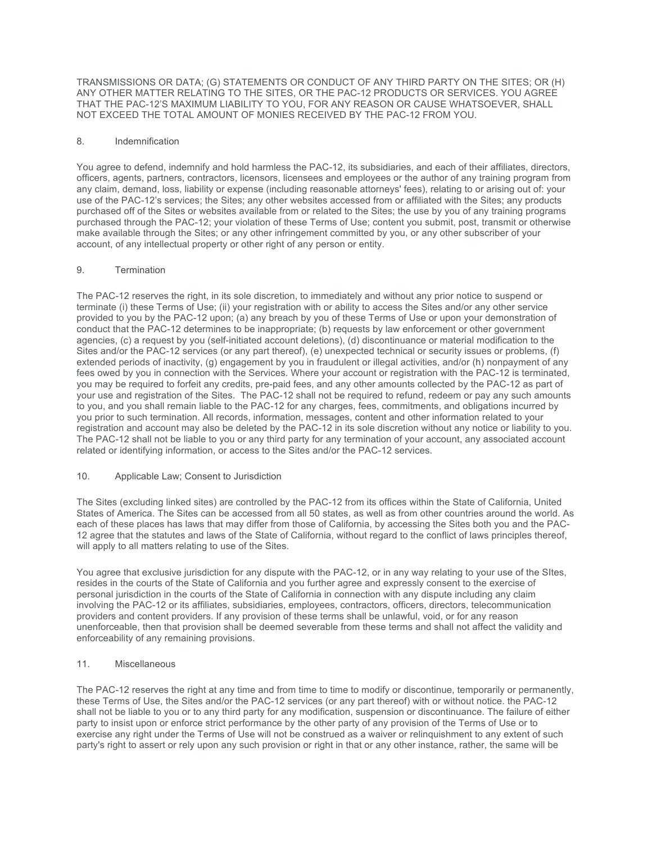TRANSMISSIONS OR DATA; (G) STATEMENTS OR CONDUCT OF ANY THIRD PARTY ON THE SITES; OR (H) ANY OTHER MATTER RELATING TO THE SITES, OR THE PAC-12 PRODUCTS OR SERVICES. YOU AGREE THAT THE PAC-12'S MAXIMUM LIABILITY TO YOU, FOR ANY REASON OR CAUSE WHATSOEVER, SHALL NOT EXCEED THE TOTAL AMOUNT OF MONIES RECEIVED BY THE PAC-12 FROM YOU.

# 8. Indemnification

You agree to defend, indemnify and hold harmless the PAC-12, its subsidiaries, and each of their affiliates, directors, officers, agents, partners, contractors, licensors, licensees and employees or the author of any training program from any claim, demand, loss, liability or expense (including reasonable attorneys' fees), relating to or arising out of: your use of the PAC-12's services; the Sites; any other websites accessed from or affiliated with the Sites; any products purchased off of the Sites or websites available from or related to the Sites; the use by you of any training programs purchased through the PAC-12; your violation of these Terms of Use; content you submit, post, transmit or otherwise make available through the Sites; or any other infringement committed by you, or any other subscriber of your account, of any intellectual property or other right of any person or entity.

## 9. Termination

The PAC-12 reserves the right, in its sole discretion, to immediately and without any prior notice to suspend or terminate (i) these Terms of Use; (ii) your registration with or ability to access the Sites and/or any other service provided to you by the PAC-12 upon; (a) any breach by you of these Terms of Use or upon your demonstration of conduct that the PAC-12 determines to be inappropriate; (b) requests by law enforcement or other government agencies, (c) a request by you (self-initiated account deletions), (d) discontinuance or material modification to the Sites and/or the PAC-12 services (or any part thereof), (e) unexpected technical or security issues or problems, (f) extended periods of inactivity, (g) engagement by you in fraudulent or illegal activities, and/or (h) nonpayment of any fees owed by you in connection with the Services. Where your account or registration with the PAC-12 is terminated, you may be required to forfeit any credits, pre-paid fees, and any other amounts collected by the PAC-12 as part of your use and registration of the Sites. The PAC-12 shall not be required to refund, redeem or pay any such amounts to you, and you shall remain liable to the PAC-12 for any charges, fees, commitments, and obligations incurred by you prior to such termination. All records, information, messages, content and other information related to your registration and account may also be deleted by the PAC-12 in its sole discretion without any notice or liability to you. The PAC-12 shall not be liable to you or any third party for any termination of your account, any associated account related or identifying information, or access to the Sites and/or the PAC-12 services.

#### 10. Applicable Law; Consent to Jurisdiction

The Sites (excluding linked sites) are controlled by the PAC-12 from its offices within the State of California, United States of America. The Sites can be accessed from all 50 states, as well as from other countries around the world. As each of these places has laws that may differ from those of California, by accessing the Sites both you and the PAC-12 agree that the statutes and laws of the State of California, without regard to the conflict of laws principles thereof, will apply to all matters relating to use of the Sites.

You agree that exclusive jurisdiction for any dispute with the PAC-12, or in any way relating to your use of the SItes, resides in the courts of the State of California and you further agree and expressly consent to the exercise of personal jurisdiction in the courts of the State of California in connection with any dispute including any claim involving the PAC-12 or its affiliates, subsidiaries, employees, contractors, officers, directors, telecommunication providers and content providers. If any provision of these terms shall be unlawful, void, or for any reason unenforceable, then that provision shall be deemed severable from these terms and shall not affect the validity and enforceability of any remaining provisions.

## 11. Miscellaneous

The PAC-12 reserves the right at any time and from time to time to modify or discontinue, temporarily or permanently, these Terms of Use, the Sites and/or the PAC-12 services (or any part thereof) with or without notice. the PAC-12 shall not be liable to you or to any third party for any modification, suspension or discontinuance. The failure of either party to insist upon or enforce strict performance by the other party of any provision of the Terms of Use or to exercise any right under the Terms of Use will not be construed as a waiver or relinquishment to any extent of such party's right to assert or rely upon any such provision or right in that or any other instance, rather, the same will be